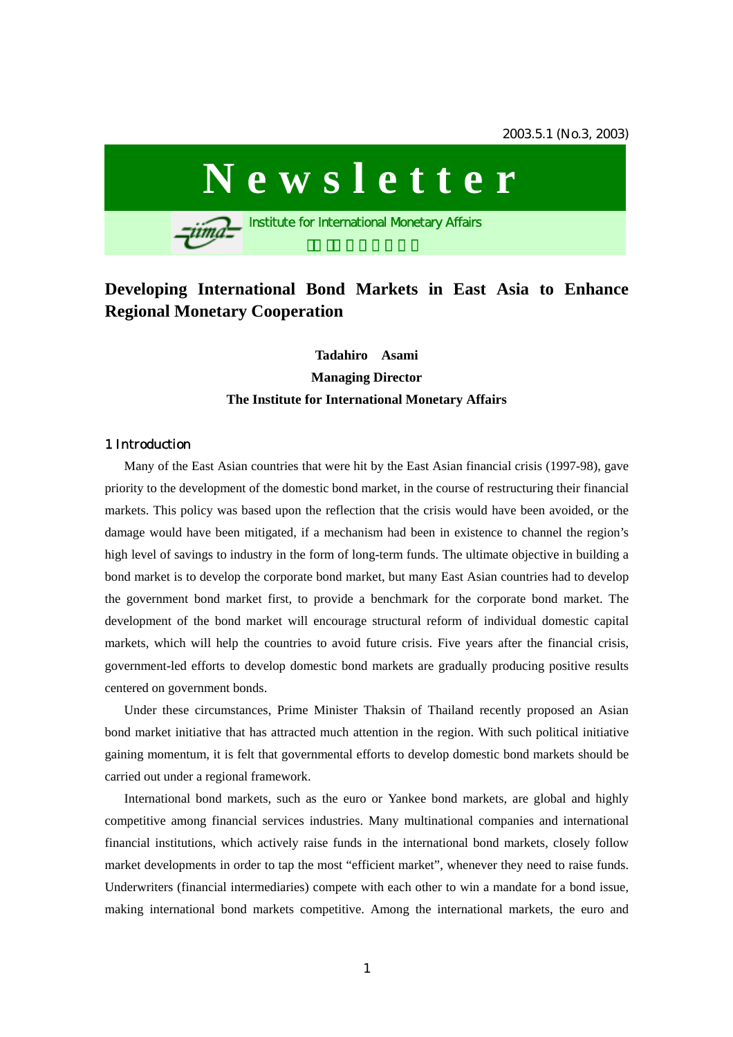

# **Developing International Bond Markets in East Asia to Enhance Regional Monetary Cooperation**

# **Tadahiro Asami Managing Director The Institute for International Monetary Affairs**

## 1 Introduction

 Many of the East Asian countries that were hit by the East Asian financial crisis (1997-98), gave priority to the development of the domestic bond market, in the course of restructuring their financial markets. This policy was based upon the reflection that the crisis would have been avoided, or the damage would have been mitigated, if a mechanism had been in existence to channel the region's high level of savings to industry in the form of long-term funds. The ultimate objective in building a bond market is to develop the corporate bond market, but many East Asian countries had to develop the government bond market first, to provide a benchmark for the corporate bond market. The development of the bond market will encourage structural reform of individual domestic capital markets, which will help the countries to avoid future crisis. Five years after the financial crisis, government-led efforts to develop domestic bond markets are gradually producing positive results centered on government bonds.

 Under these circumstances, Prime Minister Thaksin of Thailand recently proposed an Asian bond market initiative that has attracted much attention in the region. With such political initiative gaining momentum, it is felt that governmental efforts to develop domestic bond markets should be carried out under a regional framework.

 International bond markets, such as the euro or Yankee bond markets, are global and highly competitive among financial services industries. Many multinational companies and international financial institutions, which actively raise funds in the international bond markets, closely follow market developments in order to tap the most "efficient market", whenever they need to raise funds. Underwriters (financial intermediaries) compete with each other to win a mandate for a bond issue, making international bond markets competitive. Among the international markets, the euro and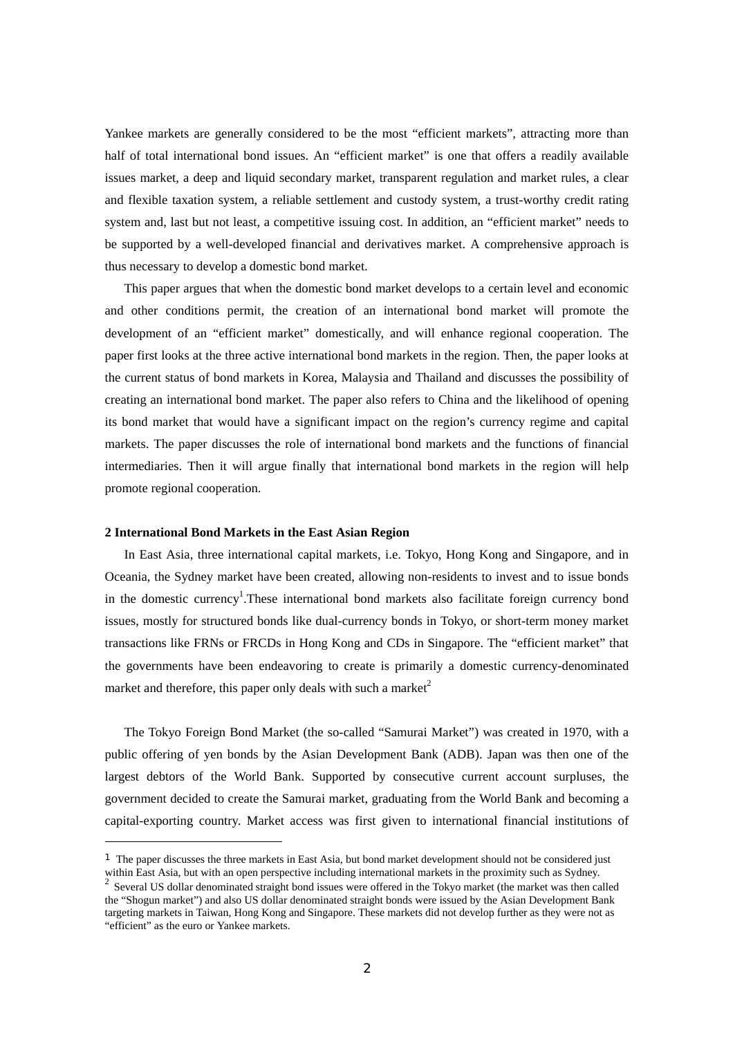Yankee markets are generally considered to be the most "efficient markets", attracting more than half of total international bond issues. An "efficient market" is one that offers a readily available issues market, a deep and liquid secondary market, transparent regulation and market rules, a clear and flexible taxation system, a reliable settlement and custody system, a trust-worthy credit rating system and, last but not least, a competitive issuing cost. In addition, an "efficient market" needs to be supported by a well-developed financial and derivatives market. A comprehensive approach is thus necessary to develop a domestic bond market.

 This paper argues that when the domestic bond market develops to a certain level and economic and other conditions permit, the creation of an international bond market will promote the development of an "efficient market" domestically, and will enhance regional cooperation. The paper first looks at the three active international bond markets in the region. Then, the paper looks at the current status of bond markets in Korea, Malaysia and Thailand and discusses the possibility of creating an international bond market. The paper also refers to China and the likelihood of opening its bond market that would have a significant impact on the region's currency regime and capital markets. The paper discusses the role of international bond markets and the functions of financial intermediaries. Then it will argue finally that international bond markets in the region will help promote regional cooperation.

#### **2 International Bond Markets in the East Asian Region**

 $\overline{a}$ 

 In East Asia, three international capital markets, i.e. Tokyo, Hong Kong and Singapore, and in Oceania, the Sydney market have been created, allowing non-residents to invest and to issue bonds in the domestic currency<sup>1</sup>. These international bond markets also facilitate foreign currency bond issues, mostly for structured bonds like dual-currency bonds in Tokyo, or short-term money market transactions like FRNs or FRCDs in Hong Kong and CDs in Singapore. The "efficient market" that the governments have been endeavoring to create is primarily a domestic currency-denominated market and therefore, this paper only deals with such a market<sup>2</sup>

 The Tokyo Foreign Bond Market (the so-called "Samurai Market") was created in 1970, with a public offering of yen bonds by the Asian Development Bank (ADB). Japan was then one of the largest debtors of the World Bank. Supported by consecutive current account surpluses, the government decided to create the Samurai market, graduating from the World Bank and becoming a capital-exporting country. Market access was first given to international financial institutions of

<sup>&</sup>lt;sup>1</sup> The paper discusses the three markets in East Asia, but bond market development should not be considered just within East Asia, but with an open perspective including international markets in the proximity such as Sydney.

<sup>2</sup> Several US dollar denominated straight bond issues were offered in the Tokyo market (the market was then called the "Shogun market") and also US dollar denominated straight bonds were issued by the Asian Development Bank targeting markets in Taiwan, Hong Kong and Singapore. These markets did not develop further as they were not as "efficient" as the euro or Yankee markets.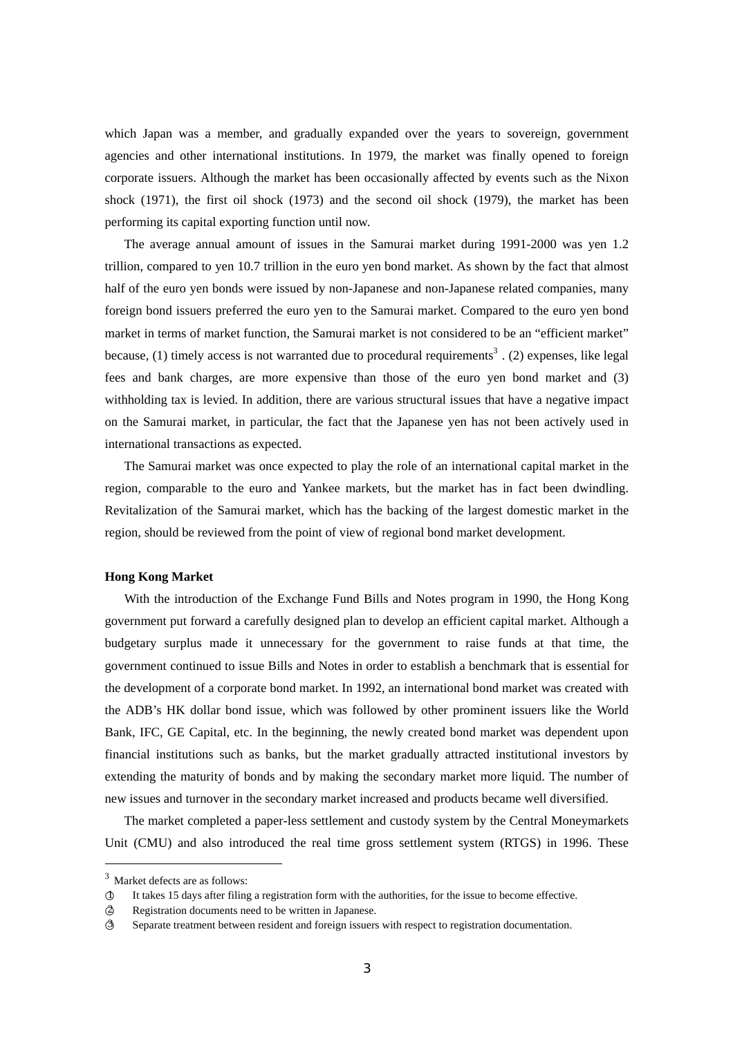which Japan was a member, and gradually expanded over the years to sovereign, government agencies and other international institutions. In 1979, the market was finally opened to foreign corporate issuers. Although the market has been occasionally affected by events such as the Nixon shock (1971), the first oil shock (1973) and the second oil shock (1979), the market has been performing its capital exporting function until now.

 The average annual amount of issues in the Samurai market during 1991-2000 was yen 1.2 trillion, compared to yen 10.7 trillion in the euro yen bond market. As shown by the fact that almost half of the euro yen bonds were issued by non-Japanese and non-Japanese related companies, many foreign bond issuers preferred the euro yen to the Samurai market. Compared to the euro yen bond market in terms of market function, the Samurai market is not considered to be an "efficient market" because, (1) timely access is not warranted due to procedural requirements<sup>3</sup>. (2) expenses, like legal fees and bank charges, are more expensive than those of the euro yen bond market and (3) withholding tax is levied. In addition, there are various structural issues that have a negative impact on the Samurai market, in particular, the fact that the Japanese yen has not been actively used in international transactions as expected.

 The Samurai market was once expected to play the role of an international capital market in the region, comparable to the euro and Yankee markets, but the market has in fact been dwindling. Revitalization of the Samurai market, which has the backing of the largest domestic market in the region, should be reviewed from the point of view of regional bond market development.

#### **Hong Kong Market**

With the introduction of the Exchange Fund Bills and Notes program in 1990, the Hong Kong government put forward a carefully designed plan to develop an efficient capital market. Although a budgetary surplus made it unnecessary for the government to raise funds at that time, the government continued to issue Bills and Notes in order to establish a benchmark that is essential for the development of a corporate bond market. In 1992, an international bond market was created with the ADB's HK dollar bond issue, which was followed by other prominent issuers like the World Bank, IFC, GE Capital, etc. In the beginning, the newly created bond market was dependent upon financial institutions such as banks, but the market gradually attracted institutional investors by extending the maturity of bonds and by making the secondary market more liquid. The number of new issues and turnover in the secondary market increased and products became well diversified.

 The market completed a paper-less settlement and custody system by the Central Moneymarkets Unit (CMU) and also introduced the real time gross settlement system (RTGS) in 1996. These

 $3$  Market defects are as follows:

<sup>1</sup> It takes 15 days after filing a registration form with the authorities, for the issue to become effective.

<sup>2</sup> Registration documents need to be written in Japanese.

<sup>3</sup> Separate treatment between resident and foreign issuers with respect to registration documentation.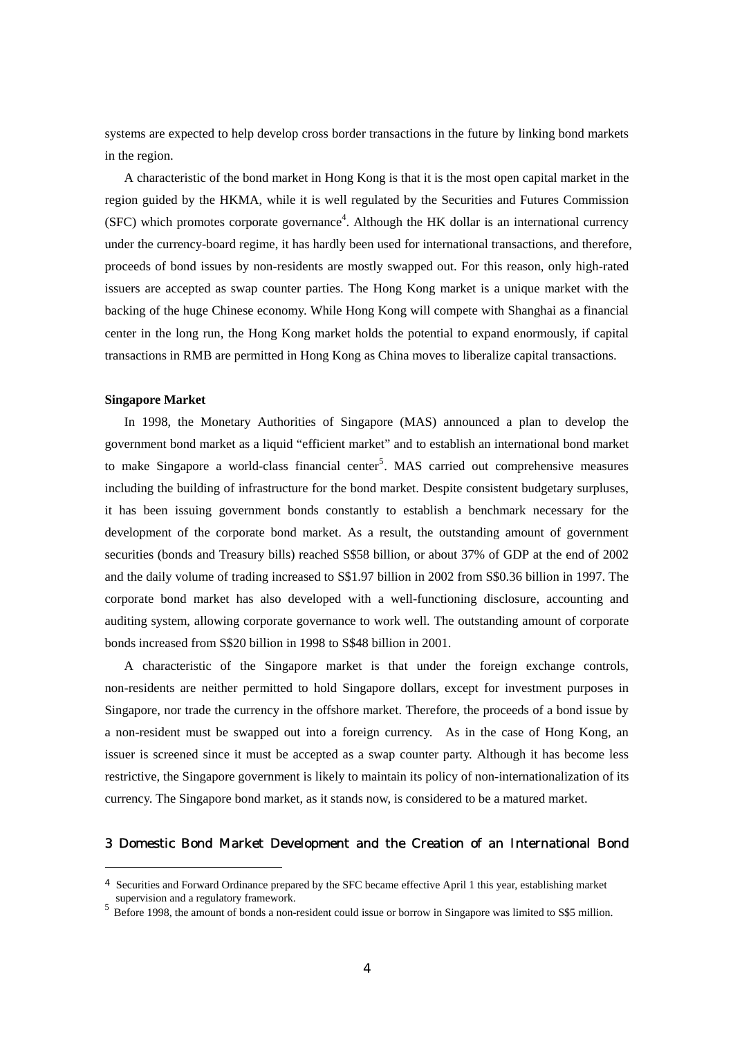systems are expected to help develop cross border transactions in the future by linking bond markets in the region.

 A characteristic of the bond market in Hong Kong is that it is the most open capital market in the region guided by the HKMA, while it is well regulated by the Securities and Futures Commission  $(SFC)$  which promotes corporate governance<sup>4</sup>. Although the HK dollar is an international currency under the currency-board regime, it has hardly been used for international transactions, and therefore, proceeds of bond issues by non-residents are mostly swapped out. For this reason, only high-rated issuers are accepted as swap counter parties. The Hong Kong market is a unique market with the backing of the huge Chinese economy. While Hong Kong will compete with Shanghai as a financial center in the long run, the Hong Kong market holds the potential to expand enormously, if capital transactions in RMB are permitted in Hong Kong as China moves to liberalize capital transactions.

### **Singapore Market**

 $\overline{a}$ 

 In 1998, the Monetary Authorities of Singapore (MAS) announced a plan to develop the government bond market as a liquid "efficient market" and to establish an international bond market to make Singapore a world-class financial center<sup>5</sup>. MAS carried out comprehensive measures including the building of infrastructure for the bond market. Despite consistent budgetary surpluses, it has been issuing government bonds constantly to establish a benchmark necessary for the development of the corporate bond market. As a result, the outstanding amount of government securities (bonds and Treasury bills) reached S\$58 billion, or about 37% of GDP at the end of 2002 and the daily volume of trading increased to S\$1.97 billion in 2002 from S\$0.36 billion in 1997. The corporate bond market has also developed with a well-functioning disclosure, accounting and auditing system, allowing corporate governance to work well. The outstanding amount of corporate bonds increased from S\$20 billion in 1998 to S\$48 billion in 2001.

 A characteristic of the Singapore market is that under the foreign exchange controls, non-residents are neither permitted to hold Singapore dollars, except for investment purposes in Singapore, nor trade the currency in the offshore market. Therefore, the proceeds of a bond issue by a non-resident must be swapped out into a foreign currency. As in the case of Hong Kong, an issuer is screened since it must be accepted as a swap counter party. Although it has become less restrictive, the Singapore government is likely to maintain its policy of non-internationalization of its currency. The Singapore bond market, as it stands now, is considered to be a matured market.

# 3 Domestic Bond Market Development and the Creation of an International Bond

<sup>4</sup> Securities and Forward Ordinance prepared by the SFC became effective April 1 this year, establishing market supervision and a regulatory framework.

<sup>&</sup>lt;sup>5</sup> Before 1998, the amount of bonds a non-resident could issue or borrow in Singapore was limited to S\$5 million.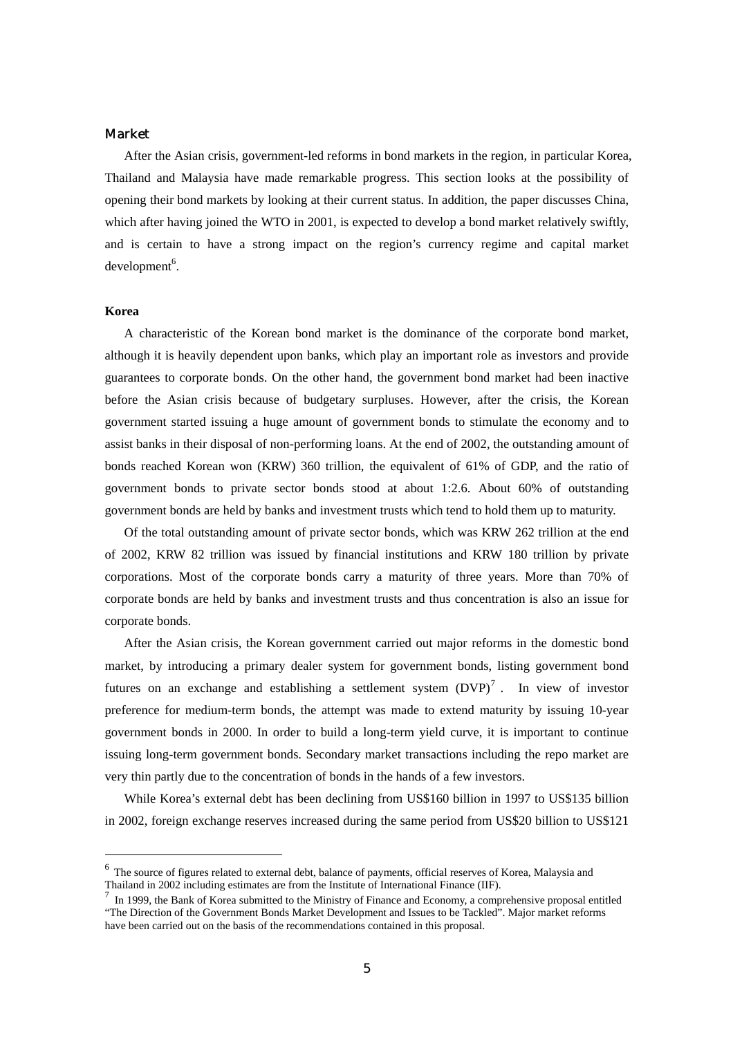# Market

 After the Asian crisis, government-led reforms in bond markets in the region, in particular Korea, Thailand and Malaysia have made remarkable progress. This section looks at the possibility of opening their bond markets by looking at their current status. In addition, the paper discusses China, which after having joined the WTO in 2001, is expected to develop a bond market relatively swiftly, and is certain to have a strong impact on the region's currency regime and capital market  $d$ evelopment $6$ .

#### **Korea**

 $\overline{a}$ 

 A characteristic of the Korean bond market is the dominance of the corporate bond market, although it is heavily dependent upon banks, which play an important role as investors and provide guarantees to corporate bonds. On the other hand, the government bond market had been inactive before the Asian crisis because of budgetary surpluses. However, after the crisis, the Korean government started issuing a huge amount of government bonds to stimulate the economy and to assist banks in their disposal of non-performing loans. At the end of 2002, the outstanding amount of bonds reached Korean won (KRW) 360 trillion, the equivalent of 61% of GDP, and the ratio of government bonds to private sector bonds stood at about 1:2.6. About 60% of outstanding government bonds are held by banks and investment trusts which tend to hold them up to maturity.

 Of the total outstanding amount of private sector bonds, which was KRW 262 trillion at the end of 2002, KRW 82 trillion was issued by financial institutions and KRW 180 trillion by private corporations. Most of the corporate bonds carry a maturity of three years. More than 70% of corporate bonds are held by banks and investment trusts and thus concentration is also an issue for corporate bonds.

 After the Asian crisis, the Korean government carried out major reforms in the domestic bond market, by introducing a primary dealer system for government bonds, listing government bond futures on an exchange and establishing a settlement system  $(DVP)^7$ . In view of investor preference for medium-term bonds, the attempt was made to extend maturity by issuing 10-year government bonds in 2000. In order to build a long-term yield curve, it is important to continue issuing long-term government bonds. Secondary market transactions including the repo market are very thin partly due to the concentration of bonds in the hands of a few investors.

 While Korea's external debt has been declining from US\$160 billion in 1997 to US\$135 billion in 2002, foreign exchange reserves increased during the same period from US\$20 billion to US\$121

<sup>6</sup> The source of figures related to external debt, balance of payments, official reserves of Korea, Malaysia and Thailand in 2002 including estimates are from the Institute of International Finance (IIF).

<sup>7</sup> In 1999, the Bank of Korea submitted to the Ministry of Finance and Economy, a comprehensive proposal entitled "The Direction of the Government Bonds Market Development and Issues to be Tackled". Major market reforms have been carried out on the basis of the recommendations contained in this proposal.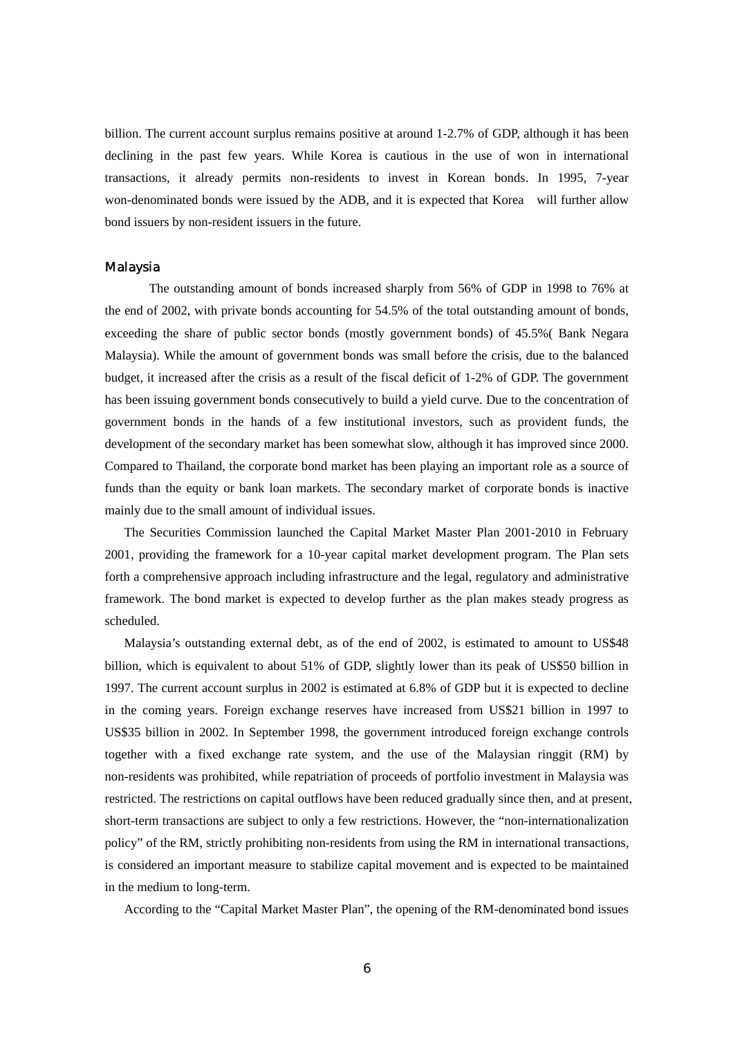billion. The current account surplus remains positive at around 1-2.7% of GDP, although it has been declining in the past few years. While Korea is cautious in the use of won in international transactions, it already permits non-residents to invest in Korean bonds. In 1995, 7-year won-denominated bonds were issued by the ADB, and it is expected that Korea will further allow bond issuers by non-resident issuers in the future.

#### Malaysia

The outstanding amount of bonds increased sharply from 56% of GDP in 1998 to 76% at the end of 2002, with private bonds accounting for 54.5% of the total outstanding amount of bonds, exceeding the share of public sector bonds (mostly government bonds) of 45.5%( Bank Negara Malaysia). While the amount of government bonds was small before the crisis, due to the balanced budget, it increased after the crisis as a result of the fiscal deficit of 1-2% of GDP. The government has been issuing government bonds consecutively to build a yield curve. Due to the concentration of government bonds in the hands of a few institutional investors, such as provident funds, the development of the secondary market has been somewhat slow, although it has improved since 2000. Compared to Thailand, the corporate bond market has been playing an important role as a source of funds than the equity or bank loan markets. The secondary market of corporate bonds is inactive mainly due to the small amount of individual issues.

 The Securities Commission launched the Capital Market Master Plan 2001-2010 in February 2001, providing the framework for a 10-year capital market development program. The Plan sets forth a comprehensive approach including infrastructure and the legal, regulatory and administrative framework. The bond market is expected to develop further as the plan makes steady progress as scheduled.

 Malaysia's outstanding external debt, as of the end of 2002, is estimated to amount to US\$48 billion, which is equivalent to about 51% of GDP, slightly lower than its peak of US\$50 billion in 1997. The current account surplus in 2002 is estimated at 6.8% of GDP but it is expected to decline in the coming years. Foreign exchange reserves have increased from US\$21 billion in 1997 to US\$35 billion in 2002. In September 1998, the government introduced foreign exchange controls together with a fixed exchange rate system, and the use of the Malaysian ringgit (RM) by non-residents was prohibited, while repatriation of proceeds of portfolio investment in Malaysia was restricted. The restrictions on capital outflows have been reduced gradually since then, and at present, short-term transactions are subject to only a few restrictions. However, the "non-internationalization policy" of the RM, strictly prohibiting non-residents from using the RM in international transactions, is considered an important measure to stabilize capital movement and is expected to be maintained in the medium to long-term.

According to the "Capital Market Master Plan", the opening of the RM-denominated bond issues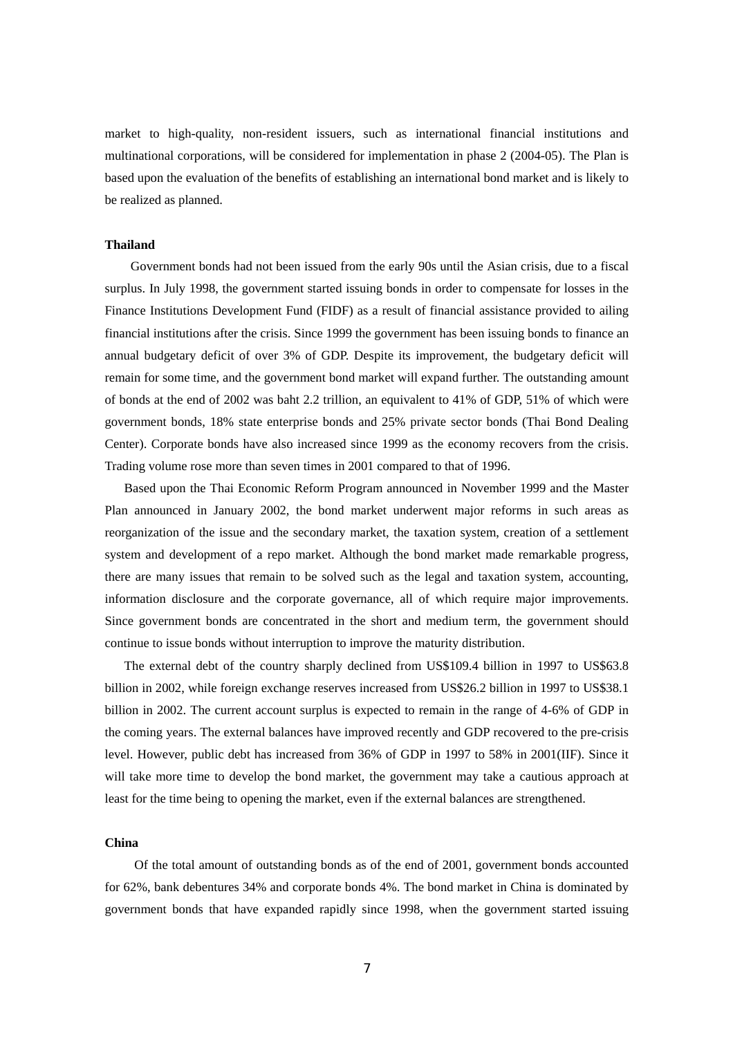market to high-quality, non-resident issuers, such as international financial institutions and multinational corporations, will be considered for implementation in phase 2 (2004-05). The Plan is based upon the evaluation of the benefits of establishing an international bond market and is likely to be realized as planned.

### **Thailand**

 Government bonds had not been issued from the early 90s until the Asian crisis, due to a fiscal surplus. In July 1998, the government started issuing bonds in order to compensate for losses in the Finance Institutions Development Fund (FIDF) as a result of financial assistance provided to ailing financial institutions after the crisis. Since 1999 the government has been issuing bonds to finance an annual budgetary deficit of over 3% of GDP. Despite its improvement, the budgetary deficit will remain for some time, and the government bond market will expand further. The outstanding amount of bonds at the end of 2002 was baht 2.2 trillion, an equivalent to 41% of GDP, 51% of which were government bonds, 18% state enterprise bonds and 25% private sector bonds (Thai Bond Dealing Center). Corporate bonds have also increased since 1999 as the economy recovers from the crisis. Trading volume rose more than seven times in 2001 compared to that of 1996.

 Based upon the Thai Economic Reform Program announced in November 1999 and the Master Plan announced in January 2002, the bond market underwent major reforms in such areas as reorganization of the issue and the secondary market, the taxation system, creation of a settlement system and development of a repo market. Although the bond market made remarkable progress, there are many issues that remain to be solved such as the legal and taxation system, accounting, information disclosure and the corporate governance, all of which require major improvements. Since government bonds are concentrated in the short and medium term, the government should continue to issue bonds without interruption to improve the maturity distribution.

 The external debt of the country sharply declined from US\$109.4 billion in 1997 to US\$63.8 billion in 2002, while foreign exchange reserves increased from US\$26.2 billion in 1997 to US\$38.1 billion in 2002. The current account surplus is expected to remain in the range of 4-6% of GDP in the coming years. The external balances have improved recently and GDP recovered to the pre-crisis level. However, public debt has increased from 36% of GDP in 1997 to 58% in 2001(IIF). Since it will take more time to develop the bond market, the government may take a cautious approach at least for the time being to opening the market, even if the external balances are strengthened.

#### **China**

Of the total amount of outstanding bonds as of the end of 2001, government bonds accounted for 62%, bank debentures 34% and corporate bonds 4%. The bond market in China is dominated by government bonds that have expanded rapidly since 1998, when the government started issuing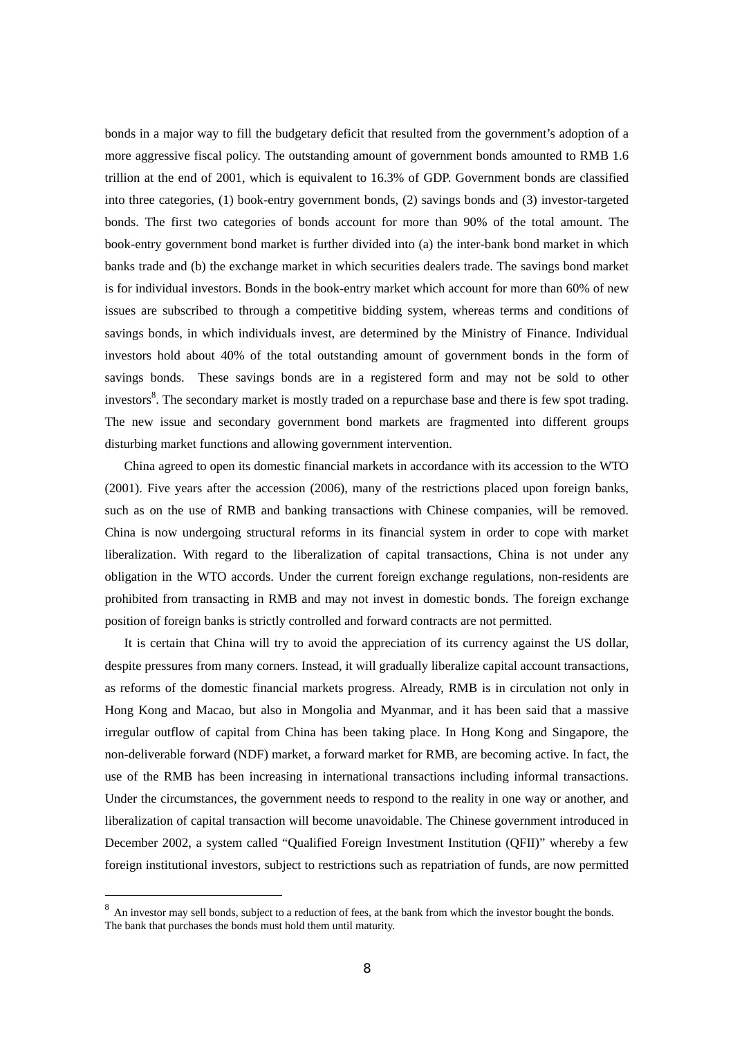bonds in a major way to fill the budgetary deficit that resulted from the government's adoption of a more aggressive fiscal policy. The outstanding amount of government bonds amounted to RMB 1.6 trillion at the end of 2001, which is equivalent to 16.3% of GDP. Government bonds are classified into three categories, (1) book-entry government bonds, (2) savings bonds and (3) investor-targeted bonds. The first two categories of bonds account for more than 90% of the total amount. The book-entry government bond market is further divided into (a) the inter-bank bond market in which banks trade and (b) the exchange market in which securities dealers trade. The savings bond market is for individual investors. Bonds in the book-entry market which account for more than 60% of new issues are subscribed to through a competitive bidding system, whereas terms and conditions of savings bonds, in which individuals invest, are determined by the Ministry of Finance. Individual investors hold about 40% of the total outstanding amount of government bonds in the form of savings bonds. These savings bonds are in a registered form and may not be sold to other investors<sup>8</sup>. The secondary market is mostly traded on a repurchase base and there is few spot trading. The new issue and secondary government bond markets are fragmented into different groups disturbing market functions and allowing government intervention.

 China agreed to open its domestic financial markets in accordance with its accession to the WTO (2001). Five years after the accession (2006), many of the restrictions placed upon foreign banks, such as on the use of RMB and banking transactions with Chinese companies, will be removed. China is now undergoing structural reforms in its financial system in order to cope with market liberalization. With regard to the liberalization of capital transactions, China is not under any obligation in the WTO accords. Under the current foreign exchange regulations, non-residents are prohibited from transacting in RMB and may not invest in domestic bonds. The foreign exchange position of foreign banks is strictly controlled and forward contracts are not permitted.

 It is certain that China will try to avoid the appreciation of its currency against the US dollar, despite pressures from many corners. Instead, it will gradually liberalize capital account transactions, as reforms of the domestic financial markets progress. Already, RMB is in circulation not only in Hong Kong and Macao, but also in Mongolia and Myanmar, and it has been said that a massive irregular outflow of capital from China has been taking place. In Hong Kong and Singapore, the non-deliverable forward (NDF) market, a forward market for RMB, are becoming active. In fact, the use of the RMB has been increasing in international transactions including informal transactions. Under the circumstances, the government needs to respond to the reality in one way or another, and liberalization of capital transaction will become unavoidable. The Chinese government introduced in December 2002, a system called "Qualified Foreign Investment Institution (QFII)" whereby a few foreign institutional investors, subject to restrictions such as repatriation of funds, are now permitted

<sup>&</sup>lt;sup>8</sup> An investor may sell bonds, subject to a reduction of fees, at the bank from which the investor bought the bonds. The bank that purchases the bonds must hold them until maturity.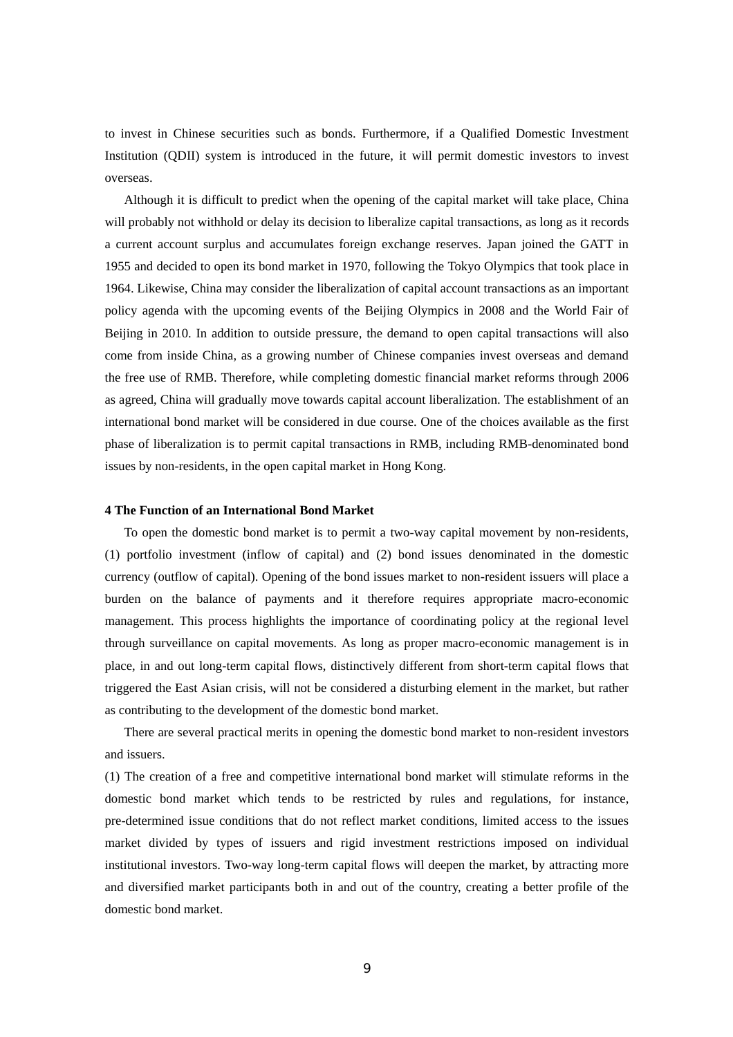to invest in Chinese securities such as bonds. Furthermore, if a Qualified Domestic Investment Institution (QDII) system is introduced in the future, it will permit domestic investors to invest overseas.

 Although it is difficult to predict when the opening of the capital market will take place, China will probably not withhold or delay its decision to liberalize capital transactions, as long as it records a current account surplus and accumulates foreign exchange reserves. Japan joined the GATT in 1955 and decided to open its bond market in 1970, following the Tokyo Olympics that took place in 1964. Likewise, China may consider the liberalization of capital account transactions as an important policy agenda with the upcoming events of the Beijing Olympics in 2008 and the World Fair of Beijing in 2010. In addition to outside pressure, the demand to open capital transactions will also come from inside China, as a growing number of Chinese companies invest overseas and demand the free use of RMB. Therefore, while completing domestic financial market reforms through 2006 as agreed, China will gradually move towards capital account liberalization. The establishment of an international bond market will be considered in due course. One of the choices available as the first phase of liberalization is to permit capital transactions in RMB, including RMB-denominated bond issues by non-residents, in the open capital market in Hong Kong.

## **4 The Function of an International Bond Market**

 To open the domestic bond market is to permit a two-way capital movement by non-residents, (1) portfolio investment (inflow of capital) and (2) bond issues denominated in the domestic currency (outflow of capital). Opening of the bond issues market to non-resident issuers will place a burden on the balance of payments and it therefore requires appropriate macro-economic management. This process highlights the importance of coordinating policy at the regional level through surveillance on capital movements. As long as proper macro-economic management is in place, in and out long-term capital flows, distinctively different from short-term capital flows that triggered the East Asian crisis, will not be considered a disturbing element in the market, but rather as contributing to the development of the domestic bond market.

 There are several practical merits in opening the domestic bond market to non-resident investors and issuers.

(1) The creation of a free and competitive international bond market will stimulate reforms in the domestic bond market which tends to be restricted by rules and regulations, for instance, pre-determined issue conditions that do not reflect market conditions, limited access to the issues market divided by types of issuers and rigid investment restrictions imposed on individual institutional investors. Two-way long-term capital flows will deepen the market, by attracting more and diversified market participants both in and out of the country, creating a better profile of the domestic bond market.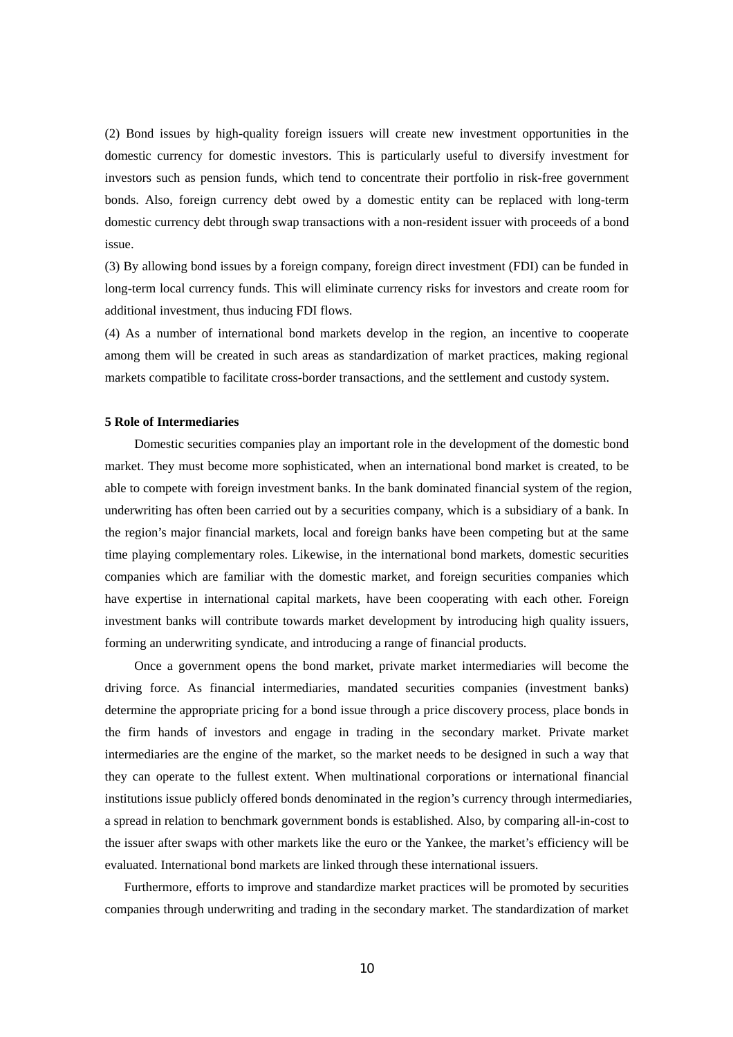(2) Bond issues by high-quality foreign issuers will create new investment opportunities in the domestic currency for domestic investors. This is particularly useful to diversify investment for investors such as pension funds, which tend to concentrate their portfolio in risk-free government bonds. Also, foreign currency debt owed by a domestic entity can be replaced with long-term domestic currency debt through swap transactions with a non-resident issuer with proceeds of a bond issue.

(3) By allowing bond issues by a foreign company, foreign direct investment (FDI) can be funded in long-term local currency funds. This will eliminate currency risks for investors and create room for additional investment, thus inducing FDI flows.

(4) As a number of international bond markets develop in the region, an incentive to cooperate among them will be created in such areas as standardization of market practices, making regional markets compatible to facilitate cross-border transactions, and the settlement and custody system.

#### **5 Role of Intermediaries**

Domestic securities companies play an important role in the development of the domestic bond market. They must become more sophisticated, when an international bond market is created, to be able to compete with foreign investment banks. In the bank dominated financial system of the region, underwriting has often been carried out by a securities company, which is a subsidiary of a bank. In the region's major financial markets, local and foreign banks have been competing but at the same time playing complementary roles. Likewise, in the international bond markets, domestic securities companies which are familiar with the domestic market, and foreign securities companies which have expertise in international capital markets, have been cooperating with each other. Foreign investment banks will contribute towards market development by introducing high quality issuers, forming an underwriting syndicate, and introducing a range of financial products.

Once a government opens the bond market, private market intermediaries will become the driving force. As financial intermediaries, mandated securities companies (investment banks) determine the appropriate pricing for a bond issue through a price discovery process, place bonds in the firm hands of investors and engage in trading in the secondary market. Private market intermediaries are the engine of the market, so the market needs to be designed in such a way that they can operate to the fullest extent. When multinational corporations or international financial institutions issue publicly offered bonds denominated in the region's currency through intermediaries, a spread in relation to benchmark government bonds is established. Also, by comparing all-in-cost to the issuer after swaps with other markets like the euro or the Yankee, the market's efficiency will be evaluated. International bond markets are linked through these international issuers.

 Furthermore, efforts to improve and standardize market practices will be promoted by securities companies through underwriting and trading in the secondary market. The standardization of market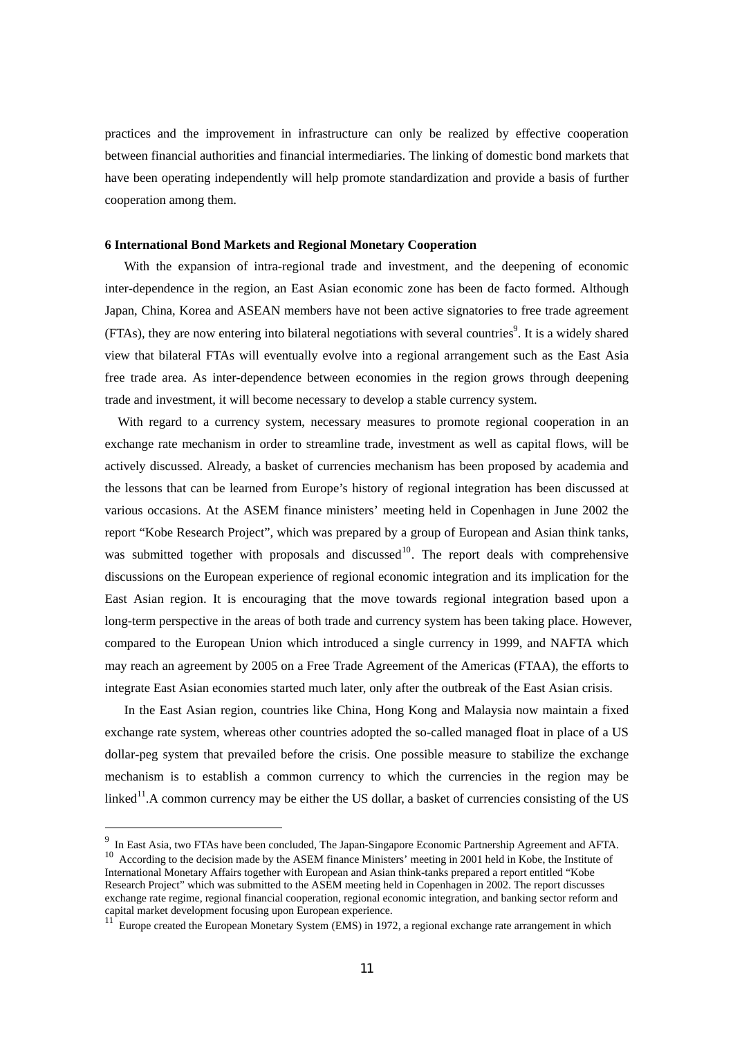practices and the improvement in infrastructure can only be realized by effective cooperation between financial authorities and financial intermediaries. The linking of domestic bond markets that have been operating independently will help promote standardization and provide a basis of further cooperation among them.

#### **6 International Bond Markets and Regional Monetary Cooperation**

 With the expansion of intra-regional trade and investment, and the deepening of economic inter-dependence in the region, an East Asian economic zone has been de facto formed. Although Japan, China, Korea and ASEAN members have not been active signatories to free trade agreement  $(FTAs)$ , they are now entering into bilateral negotiations with several countries<sup>9</sup>. It is a widely shared view that bilateral FTAs will eventually evolve into a regional arrangement such as the East Asia free trade area. As inter-dependence between economies in the region grows through deepening trade and investment, it will become necessary to develop a stable currency system.

 With regard to a currency system, necessary measures to promote regional cooperation in an exchange rate mechanism in order to streamline trade, investment as well as capital flows, will be actively discussed. Already, a basket of currencies mechanism has been proposed by academia and the lessons that can be learned from Europe's history of regional integration has been discussed at various occasions. At the ASEM finance ministers' meeting held in Copenhagen in June 2002 the report "Kobe Research Project", which was prepared by a group of European and Asian think tanks, was submitted together with proposals and discussed<sup>10</sup>. The report deals with comprehensive discussions on the European experience of regional economic integration and its implication for the East Asian region. It is encouraging that the move towards regional integration based upon a long-term perspective in the areas of both trade and currency system has been taking place. However, compared to the European Union which introduced a single currency in 1999, and NAFTA which may reach an agreement by 2005 on a Free Trade Agreement of the Americas (FTAA), the efforts to integrate East Asian economies started much later, only after the outbreak of the East Asian crisis.

 In the East Asian region, countries like China, Hong Kong and Malaysia now maintain a fixed exchange rate system, whereas other countries adopted the so-called managed float in place of a US dollar-peg system that prevailed before the crisis. One possible measure to stabilize the exchange mechanism is to establish a common currency to which the currencies in the region may be linked<sup>11</sup>.A common currency may be either the US dollar, a basket of currencies consisting of the US

<sup>&</sup>lt;sup>9</sup> In East Asia, two FTAs have been concluded, The Japan-Singapore Economic Partnership Agreement and AFTA. <sup>10</sup> According to the decision made by the ASEM finance Ministers' meeting in 2001 held in Kobe, the Institute of International Monetary Affairs together with European and Asian think-tanks prepared a report entitled "Kobe Research Project" which was submitted to the ASEM meeting held in Copenhagen in 2002. The report discusses exchange rate regime, regional financial cooperation, regional economic integration, and banking sector reform and capital market development focusing upon European experience.

<sup>&</sup>lt;sup>11</sup> Europe created the European Monetary System (EMS) in 1972, a regional exchange rate arrangement in which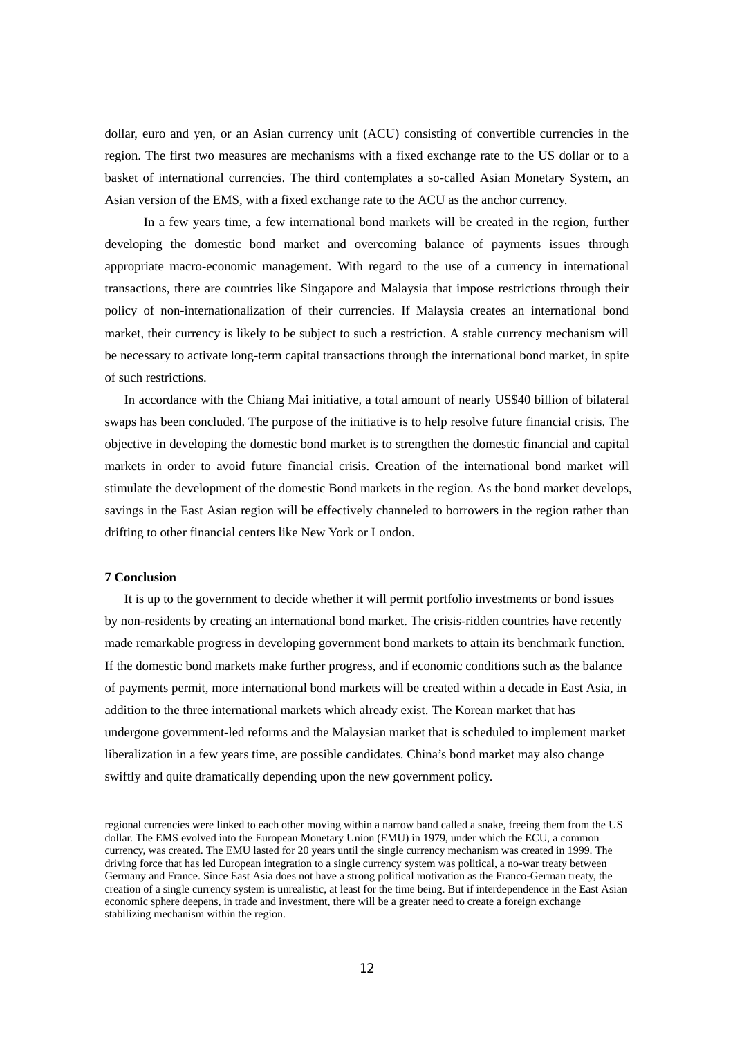dollar, euro and yen, or an Asian currency unit (ACU) consisting of convertible currencies in the region. The first two measures are mechanisms with a fixed exchange rate to the US dollar or to a basket of international currencies. The third contemplates a so-called Asian Monetary System, an Asian version of the EMS, with a fixed exchange rate to the ACU as the anchor currency.

 In a few years time, a few international bond markets will be created in the region, further developing the domestic bond market and overcoming balance of payments issues through appropriate macro-economic management. With regard to the use of a currency in international transactions, there are countries like Singapore and Malaysia that impose restrictions through their policy of non-internationalization of their currencies. If Malaysia creates an international bond market, their currency is likely to be subject to such a restriction. A stable currency mechanism will be necessary to activate long-term capital transactions through the international bond market, in spite of such restrictions.

 In accordance with the Chiang Mai initiative, a total amount of nearly US\$40 billion of bilateral swaps has been concluded. The purpose of the initiative is to help resolve future financial crisis. The objective in developing the domestic bond market is to strengthen the domestic financial and capital markets in order to avoid future financial crisis. Creation of the international bond market will stimulate the development of the domestic Bond markets in the region. As the bond market develops, savings in the East Asian region will be effectively channeled to borrowers in the region rather than drifting to other financial centers like New York or London.

#### **7 Conclusion**

-

 It is up to the government to decide whether it will permit portfolio investments or bond issues by non-residents by creating an international bond market. The crisis-ridden countries have recently made remarkable progress in developing government bond markets to attain its benchmark function. If the domestic bond markets make further progress, and if economic conditions such as the balance of payments permit, more international bond markets will be created within a decade in East Asia, in addition to the three international markets which already exist. The Korean market that has undergone government-led reforms and the Malaysian market that is scheduled to implement market liberalization in a few years time, are possible candidates. China's bond market may also change swiftly and quite dramatically depending upon the new government policy.

regional currencies were linked to each other moving within a narrow band called a snake, freeing them from the US dollar. The EMS evolved into the European Monetary Union (EMU) in 1979, under which the ECU, a common currency, was created. The EMU lasted for 20 years until the single currency mechanism was created in 1999. The driving force that has led European integration to a single currency system was political, a no-war treaty between Germany and France. Since East Asia does not have a strong political motivation as the Franco-German treaty, the creation of a single currency system is unrealistic, at least for the time being. But if interdependence in the East Asian economic sphere deepens, in trade and investment, there will be a greater need to create a foreign exchange stabilizing mechanism within the region.